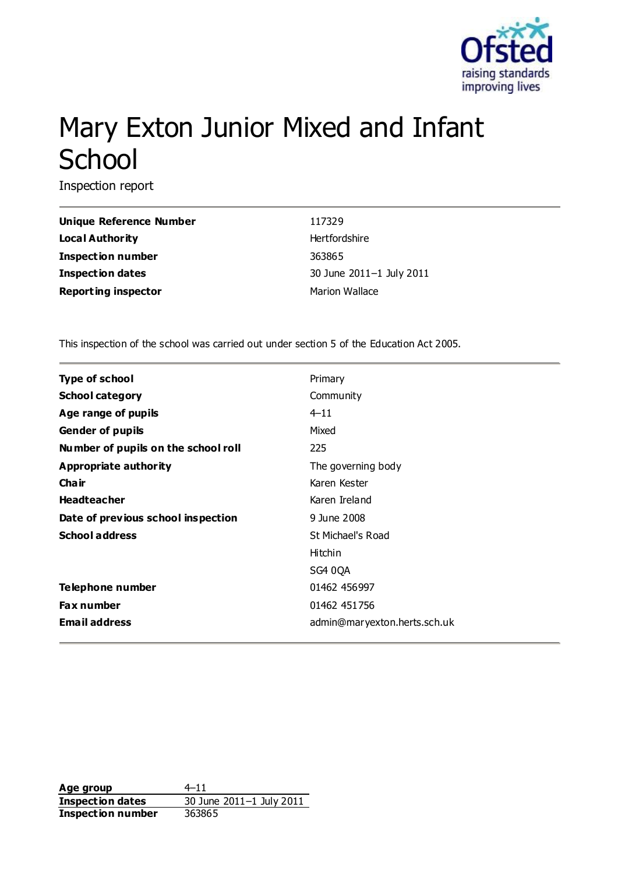

# Mary Exton Junior Mixed and Infant **School**

Inspection report

| Unique Reference Number    | 117329                   |
|----------------------------|--------------------------|
| Local Authority            | Hertfordshire            |
| <b>Inspection number</b>   | 363865                   |
| <b>Inspection dates</b>    | 30 June 2011-1 July 2011 |
| <b>Reporting inspector</b> | <b>Marion Wallace</b>    |

This inspection of the school was carried out under section 5 of the Education Act 2005.

| <b>Type of school</b>               | Primary                      |
|-------------------------------------|------------------------------|
| <b>School category</b>              | Community                    |
| Age range of pupils                 | $4 - 11$                     |
| <b>Gender of pupils</b>             | Mixed                        |
| Number of pupils on the school roll | 225                          |
| Appropriate authority               | The governing body           |
| Cha ir                              | Karen Kester                 |
| <b>Headteacher</b>                  | Karen Ireland                |
| Date of previous school inspection  | 9 June 2008                  |
| <b>School address</b>               | St Michael's Road            |
|                                     | Hitchin                      |
|                                     | SG4 0QA                      |
| Telephone number                    | 01462 456997                 |
| <b>Fax number</b>                   | 01462 451756                 |
| <b>Email address</b>                | admin@maryexton.herts.sch.uk |

**Age group**  $4-11$ **Inspection dates** 30 June 2011–1 July 2011 **Inspection number** 363865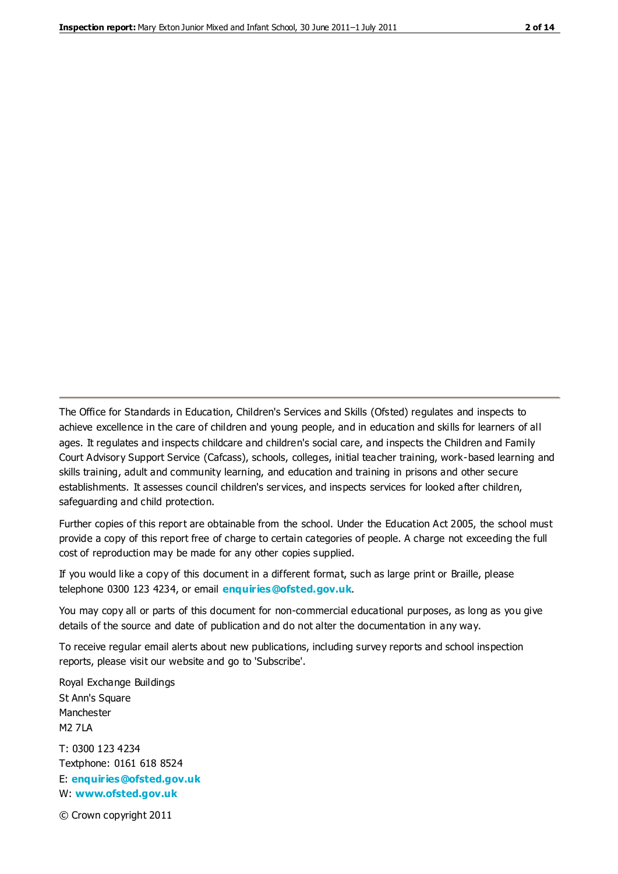The Office for Standards in Education, Children's Services and Skills (Ofsted) regulates and inspects to achieve excellence in the care of children and young people, and in education and skills for learners of all ages. It regulates and inspects childcare and children's social care, and inspects the Children and Family Court Advisory Support Service (Cafcass), schools, colleges, initial teacher training, work-based learning and skills training, adult and community learning, and education and training in prisons and other secure establishments. It assesses council children's services, and inspects services for looked after children, safeguarding and child protection.

Further copies of this report are obtainable from the school. Under the Education Act 2005, the school must provide a copy of this report free of charge to certain categories of people. A charge not exceeding the full cost of reproduction may be made for any other copies supplied.

If you would like a copy of this document in a different format, such as large print or Braille, please telephone 0300 123 4234, or email **[enquiries@ofsted.gov.uk](mailto:enquiries@ofsted.gov.uk)**.

You may copy all or parts of this document for non-commercial educational purposes, as long as you give details of the source and date of publication and do not alter the documentation in any way.

To receive regular email alerts about new publications, including survey reports and school inspection reports, please visit our website and go to 'Subscribe'.

Royal Exchange Buildings St Ann's Square Manchester M2 7LA T: 0300 123 4234 Textphone: 0161 618 8524 E: **[enquiries@ofsted.gov.uk](mailto:enquiries@ofsted.gov.uk)**

W: **[www.ofsted.gov.uk](http://www.ofsted.gov.uk/)**

© Crown copyright 2011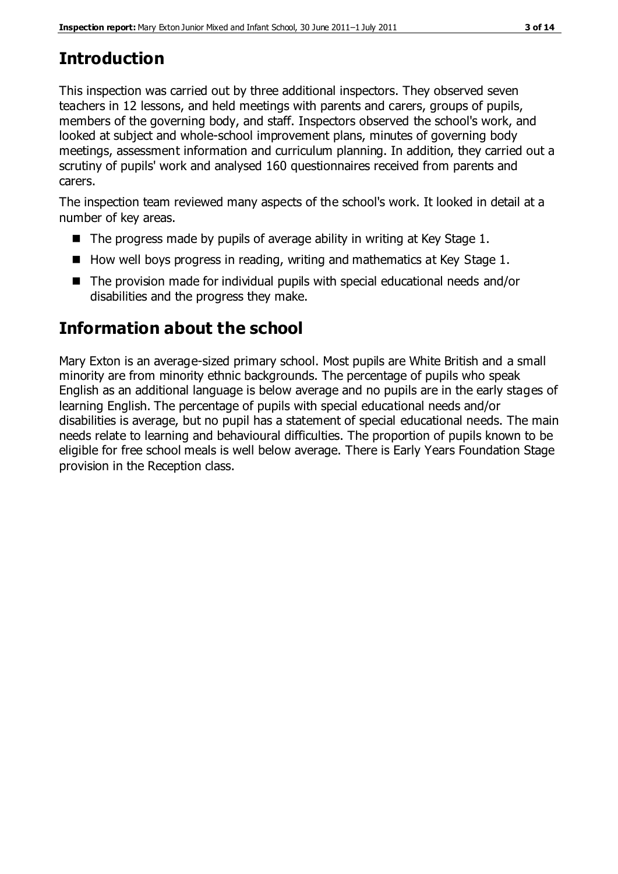# **Introduction**

This inspection was carried out by three additional inspectors. They observed seven teachers in 12 lessons, and held meetings with parents and carers, groups of pupils, members of the governing body, and staff. Inspectors observed the school's work, and looked at subject and whole-school improvement plans, minutes of governing body meetings, assessment information and curriculum planning. In addition, they carried out a scrutiny of pupils' work and analysed 160 questionnaires received from parents and carers.

The inspection team reviewed many aspects of the school's work. It looked in detail at a number of key areas.

- $\blacksquare$  The progress made by pupils of average ability in writing at Key Stage 1.
- $\blacksquare$  How well boys progress in reading, writing and mathematics at Key Stage 1.
- The provision made for individual pupils with special educational needs and/or disabilities and the progress they make.

# **Information about the school**

Mary Exton is an average-sized primary school. Most pupils are White British and a small minority are from minority ethnic backgrounds. The percentage of pupils who speak English as an additional language is below average and no pupils are in the early stages of learning English. The percentage of pupils with special educational needs and/or disabilities is average, but no pupil has a statement of special educational needs. The main needs relate to learning and behavioural difficulties. The proportion of pupils known to be eligible for free school meals is well below average. There is Early Years Foundation Stage provision in the Reception class.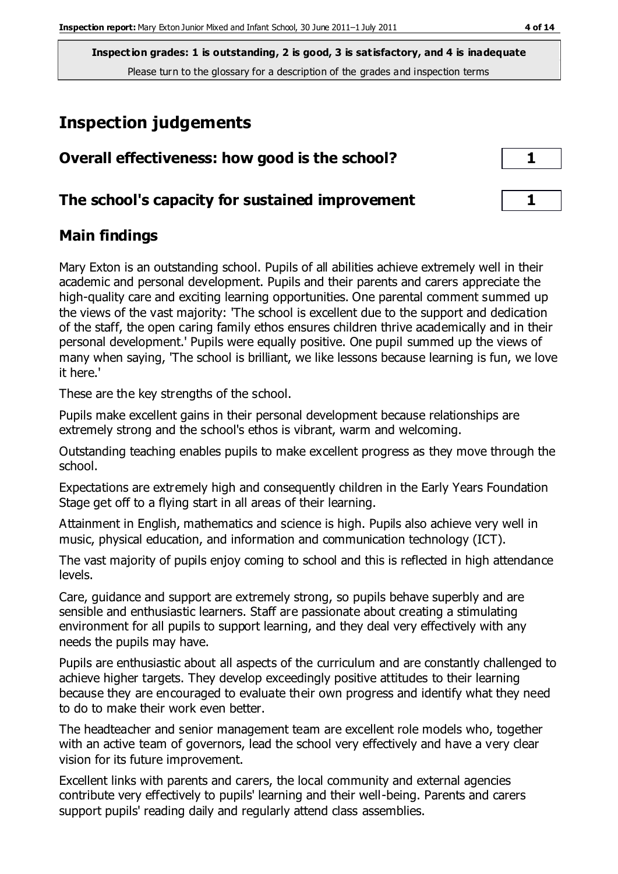# **Inspection judgements**

| Overall effectiveness: how good is the school?  |  |
|-------------------------------------------------|--|
| The school's capacity for sustained improvement |  |

# **Main findings**

Mary Exton is an outstanding school. Pupils of all abilities achieve extremely well in their academic and personal development. Pupils and their parents and carers appreciate the high-quality care and exciting learning opportunities. One parental comment summed up the views of the vast majority: 'The school is excellent due to the support and dedication of the staff, the open caring family ethos ensures children thrive academically and in their personal development.' Pupils were equally positive. One pupil summed up the views of many when saying, 'The school is brilliant, we like lessons because learning is fun, we love it here.'

These are the key strengths of the school.

Pupils make excellent gains in their personal development because relationships are extremely strong and the school's ethos is vibrant, warm and welcoming.

Outstanding teaching enables pupils to make excellent progress as they move through the school.

Expectations are extremely high and consequently children in the Early Years Foundation Stage get off to a flying start in all areas of their learning.

Attainment in English, mathematics and science is high. Pupils also achieve very well in music, physical education, and information and communication technology (ICT).

The vast majority of pupils enjoy coming to school and this is reflected in high attendance levels.

Care, guidance and support are extremely strong, so pupils behave superbly and are sensible and enthusiastic learners. Staff are passionate about creating a stimulating environment for all pupils to support learning, and they deal very effectively with any needs the pupils may have.

Pupils are enthusiastic about all aspects of the curriculum and are constantly challenged to achieve higher targets. They develop exceedingly positive attitudes to their learning because they are encouraged to evaluate their own progress and identify what they need to do to make their work even better.

The headteacher and senior management team are excellent role models who, together with an active team of governors, lead the school very effectively and have a very clear vision for its future improvement.

Excellent links with parents and carers, the local community and external agencies contribute very effectively to pupils' learning and their well-being. Parents and carers support pupils' reading daily and regularly attend class assemblies.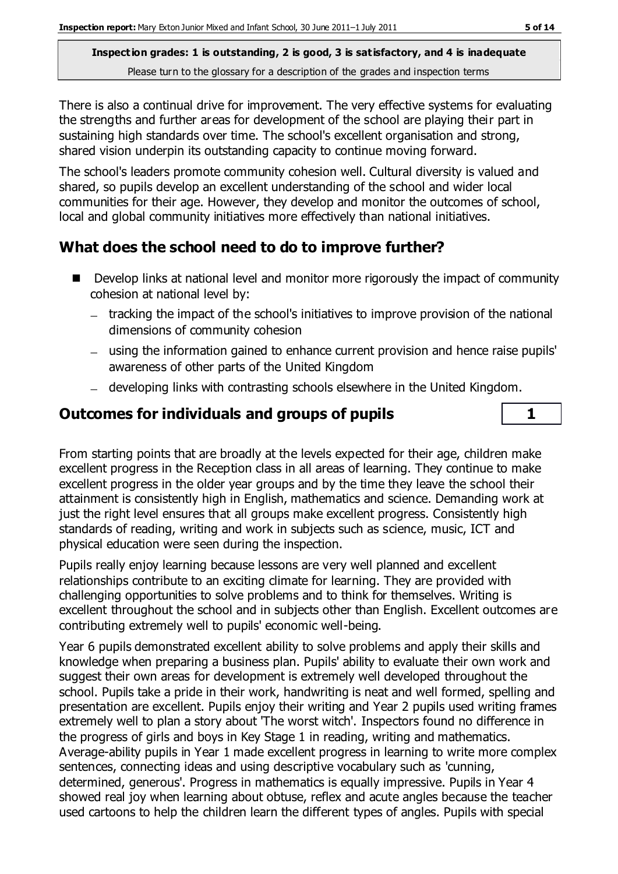There is also a continual drive for improvement. The very effective systems for evaluating the strengths and further areas for development of the school are playing their part in sustaining high standards over time. The school's excellent organisation and strong, shared vision underpin its outstanding capacity to continue moving forward.

The school's leaders promote community cohesion well. Cultural diversity is valued and shared, so pupils develop an excellent understanding of the school and wider local communities for their age. However, they develop and monitor the outcomes of school, local and global community initiatives more effectively than national initiatives.

# **What does the school need to do to improve further?**

- Develop links at national level and monitor more rigorously the impact of community cohesion at national level by:
	- tracking the impact of the school's initiatives to improve provision of the national dimensions of community cohesion
	- using the information gained to enhance current provision and hence raise pupils' awareness of other parts of the United Kingdom
	- developing links with contrasting schools elsewhere in the United Kingdom.

# **Outcomes for individuals and groups of pupils 1**

From starting points that are broadly at the levels expected for their age, children make excellent progress in the Reception class in all areas of learning. They continue to make excellent progress in the older year groups and by the time they leave the school their attainment is consistently high in English, mathematics and science. Demanding work at just the right level ensures that all groups make excellent progress. Consistently high standards of reading, writing and work in subjects such as science, music, ICT and physical education were seen during the inspection.

Pupils really enjoy learning because lessons are very well planned and excellent relationships contribute to an exciting climate for learning. They are provided with challenging opportunities to solve problems and to think for themselves. Writing is excellent throughout the school and in subjects other than English. Excellent outcomes are contributing extremely well to pupils' economic well-being.

Year 6 pupils demonstrated excellent ability to solve problems and apply their skills and knowledge when preparing a business plan. Pupils' ability to evaluate their own work and suggest their own areas for development is extremely well developed throughout the school. Pupils take a pride in their work, handwriting is neat and well formed, spelling and presentation are excellent. Pupils enjoy their writing and Year 2 pupils used writing frames extremely well to plan a story about 'The worst witch'. Inspectors found no difference in the progress of girls and boys in Key Stage 1 in reading, writing and mathematics. Average-ability pupils in Year 1 made excellent progress in learning to write more complex sentences, connecting ideas and using descriptive vocabulary such as 'cunning, determined, generous'. Progress in mathematics is equally impressive. Pupils in Year 4 showed real joy when learning about obtuse, reflex and acute angles because the teacher used cartoons to help the children learn the different types of angles. Pupils with special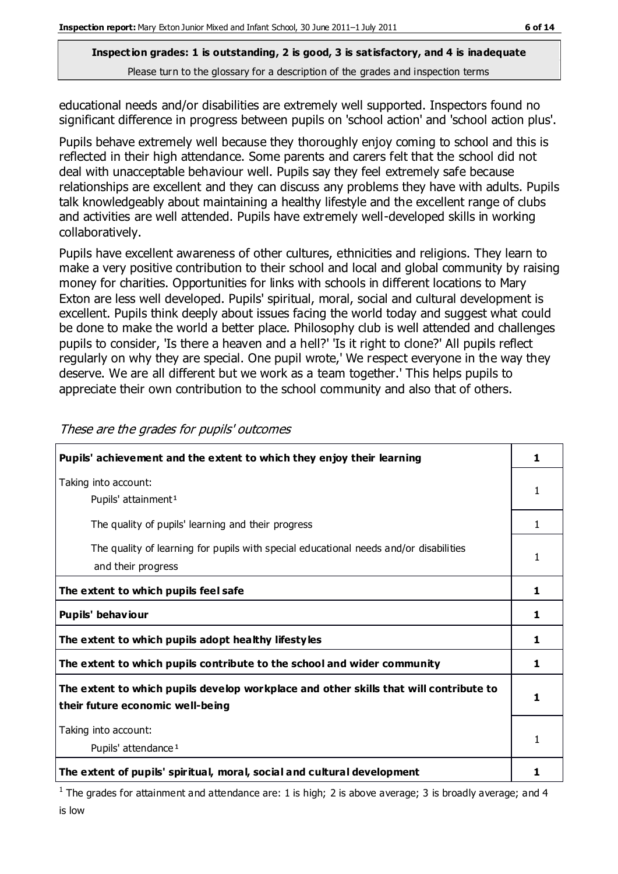educational needs and/or disabilities are extremely well supported. Inspectors found no significant difference in progress between pupils on 'school action' and 'school action plus'.

Pupils behave extremely well because they thoroughly enjoy coming to school and this is reflected in their high attendance. Some parents and carers felt that the school did not deal with unacceptable behaviour well. Pupils say they feel extremely safe because relationships are excellent and they can discuss any problems they have with adults. Pupils talk knowledgeably about maintaining a healthy lifestyle and the excellent range of clubs and activities are well attended. Pupils have extremely well-developed skills in working collaboratively.

Pupils have excellent awareness of other cultures, ethnicities and religions. They learn to make a very positive contribution to their school and local and global community by raising money for charities. Opportunities for links with schools in different locations to Mary Exton are less well developed. Pupils' spiritual, moral, social and cultural development is excellent. Pupils think deeply about issues facing the world today and suggest what could be done to make the world a better place. Philosophy club is well attended and challenges pupils to consider, 'Is there a heaven and a hell?' 'Is it right to clone?' All pupils reflect regularly on why they are special. One pupil wrote,' We respect everyone in the way they deserve. We are all different but we work as a team together.' This helps pupils to appreciate their own contribution to the school community and also that of others.

| Pupils' achievement and the extent to which they enjoy their learning                                                     | 1            |
|---------------------------------------------------------------------------------------------------------------------------|--------------|
| Taking into account:<br>Pupils' attainment <sup>1</sup>                                                                   | 1            |
| The quality of pupils' learning and their progress                                                                        | $\mathbf{1}$ |
| The quality of learning for pupils with special educational needs and/or disabilities<br>and their progress               | 1            |
| The extent to which pupils feel safe                                                                                      | 1            |
| Pupils' behaviour                                                                                                         | 1            |
| The extent to which pupils adopt healthy lifestyles                                                                       | 1            |
| The extent to which pupils contribute to the school and wider community                                                   | 1            |
| The extent to which pupils develop workplace and other skills that will contribute to<br>their future economic well-being | 1            |
| Taking into account:                                                                                                      | 1            |
| Pupils' attendance <sup>1</sup>                                                                                           |              |
| The extent of pupils' spiritual, moral, social and cultural development                                                   | т            |

These are the grades for pupils' outcomes

<sup>1</sup> The grades for attainment and attendance are: 1 is high; 2 is above average; 3 is broadly average; and 4 is low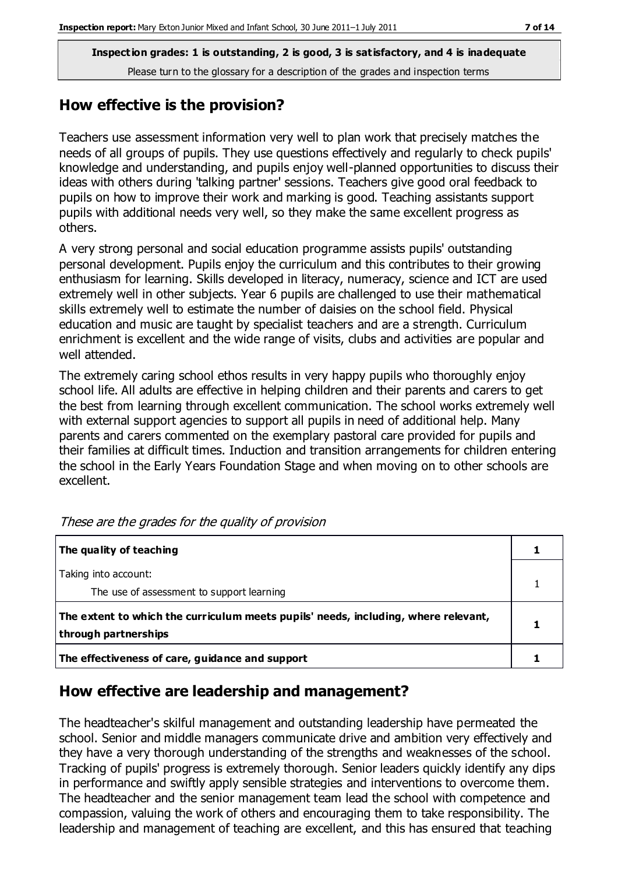## **How effective is the provision?**

Teachers use assessment information very well to plan work that precisely matches the needs of all groups of pupils. They use questions effectively and regularly to check pupils' knowledge and understanding, and pupils enjoy well-planned opportunities to discuss their ideas with others during 'talking partner' sessions. Teachers give good oral feedback to pupils on how to improve their work and marking is good. Teaching assistants support pupils with additional needs very well, so they make the same excellent progress as others.

A very strong personal and social education programme assists pupils' outstanding personal development. Pupils enjoy the curriculum and this contributes to their growing enthusiasm for learning. Skills developed in literacy, numeracy, science and ICT are used extremely well in other subjects. Year 6 pupils are challenged to use their mathematical skills extremely well to estimate the number of daisies on the school field. Physical education and music are taught by specialist teachers and are a strength. Curriculum enrichment is excellent and the wide range of visits, clubs and activities are popular and well attended.

The extremely caring school ethos results in very happy pupils who thoroughly enjoy school life. All adults are effective in helping children and their parents and carers to get the best from learning through excellent communication. The school works extremely well with external support agencies to support all pupils in need of additional help. Many parents and carers commented on the exemplary pastoral care provided for pupils and their families at difficult times. Induction and transition arrangements for children entering the school in the Early Years Foundation Stage and when moving on to other schools are excellent.

| The quality of teaching                                                                                    |  |
|------------------------------------------------------------------------------------------------------------|--|
| Taking into account:<br>The use of assessment to support learning                                          |  |
| The extent to which the curriculum meets pupils' needs, including, where relevant,<br>through partnerships |  |
| The effectiveness of care, guidance and support                                                            |  |

These are the grades for the quality of provision

# **How effective are leadership and management?**

The headteacher's skilful management and outstanding leadership have permeated the school. Senior and middle managers communicate drive and ambition very effectively and they have a very thorough understanding of the strengths and weaknesses of the school. Tracking of pupils' progress is extremely thorough. Senior leaders quickly identify any dips in performance and swiftly apply sensible strategies and interventions to overcome them. The headteacher and the senior management team lead the school with competence and compassion, valuing the work of others and encouraging them to take responsibility. The leadership and management of teaching are excellent, and this has ensured that teaching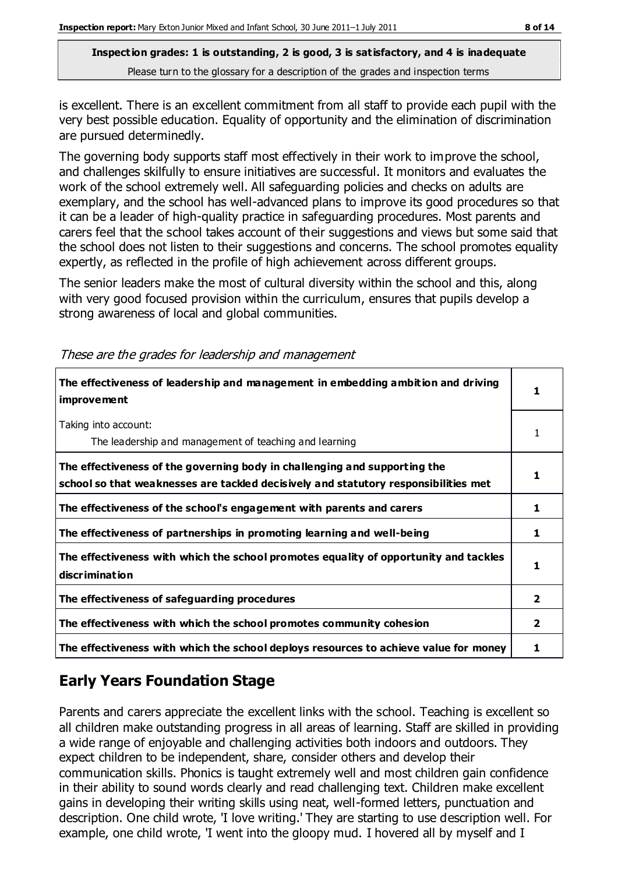is excellent. There is an excellent commitment from all staff to provide each pupil with the very best possible education. Equality of opportunity and the elimination of discrimination are pursued determinedly.

The governing body supports staff most effectively in their work to improve the school, and challenges skilfully to ensure initiatives are successful. It monitors and evaluates the work of the school extremely well. All safeguarding policies and checks on adults are exemplary, and the school has well-advanced plans to improve its good procedures so that it can be a leader of high-quality practice in safeguarding procedures. Most parents and carers feel that the school takes account of their suggestions and views but some said that the school does not listen to their suggestions and concerns. The school promotes equality expertly, as reflected in the profile of high achievement across different groups.

The senior leaders make the most of cultural diversity within the school and this, along with very good focused provision within the curriculum, ensures that pupils develop a strong awareness of local and global communities.

| The effectiveness of leadership and management in embedding ambition and driving<br>improvement                                                                  | 1            |
|------------------------------------------------------------------------------------------------------------------------------------------------------------------|--------------|
| Taking into account:<br>The leadership and management of teaching and learning                                                                                   | 1            |
| The effectiveness of the governing body in challenging and supporting the<br>school so that weaknesses are tackled decisively and statutory responsibilities met | 1.           |
| The effectiveness of the school's engagement with parents and carers                                                                                             | 1            |
| The effectiveness of partnerships in promoting learning and well-being                                                                                           | 1            |
| The effectiveness with which the school promotes equality of opportunity and tackles<br>discrimination                                                           | 1            |
| The effectiveness of safeguarding procedures                                                                                                                     | $\mathbf{2}$ |
| The effectiveness with which the school promotes community cohesion                                                                                              | 2            |
| The effectiveness with which the school deploys resources to achieve value for money                                                                             |              |

These are the grades for leadership and management

# **Early Years Foundation Stage**

Parents and carers appreciate the excellent links with the school. Teaching is excellent so all children make outstanding progress in all areas of learning. Staff are skilled in providing a wide range of enjoyable and challenging activities both indoors and outdoors. They expect children to be independent, share, consider others and develop their communication skills. Phonics is taught extremely well and most children gain confidence in their ability to sound words clearly and read challenging text. Children make excellent gains in developing their writing skills using neat, well-formed letters, punctuation and description. One child wrote, 'I love writing.' They are starting to use description well. For example, one child wrote, 'I went into the gloopy mud. I hovered all by myself and I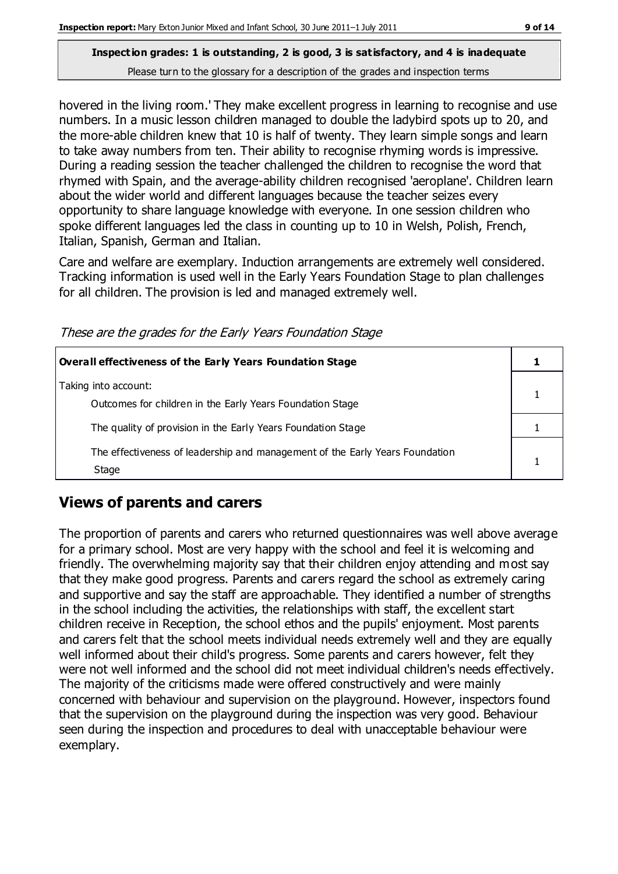hovered in the living room.' They make excellent progress in learning to recognise and use numbers. In a music lesson children managed to double the ladybird spots up to 20, and the more-able children knew that 10 is half of twenty. They learn simple songs and learn to take away numbers from ten. Their ability to recognise rhyming words is impressive. During a reading session the teacher challenged the children to recognise the word that rhymed with Spain, and the average-ability children recognised 'aeroplane'. Children learn about the wider world and different languages because the teacher seizes every opportunity to share language knowledge with everyone. In one session children who spoke different languages led the class in counting up to 10 in Welsh, Polish, French, Italian, Spanish, German and Italian.

Care and welfare are exemplary. Induction arrangements are extremely well considered. Tracking information is used well in the Early Years Foundation Stage to plan challenges for all children. The provision is led and managed extremely well.

These are the grades for the Early Years Foundation Stage

| Overall effectiveness of the Early Years Foundation Stage                             |  |
|---------------------------------------------------------------------------------------|--|
| Taking into account:<br>Outcomes for children in the Early Years Foundation Stage     |  |
| The quality of provision in the Early Years Foundation Stage                          |  |
| The effectiveness of leadership and management of the Early Years Foundation<br>Stage |  |

## **Views of parents and carers**

The proportion of parents and carers who returned questionnaires was well above average for a primary school. Most are very happy with the school and feel it is welcoming and friendly. The overwhelming majority say that their children enjoy attending and most say that they make good progress. Parents and carers regard the school as extremely caring and supportive and say the staff are approachable. They identified a number of strengths in the school including the activities, the relationships with staff, the excellent start children receive in Reception, the school ethos and the pupils' enjoyment. Most parents and carers felt that the school meets individual needs extremely well and they are equally well informed about their child's progress. Some parents and carers however, felt they were not well informed and the school did not meet individual children's needs effectively. The majority of the criticisms made were offered constructively and were mainly concerned with behaviour and supervision on the playground. However, inspectors found that the supervision on the playground during the inspection was very good. Behaviour seen during the inspection and procedures to deal with unacceptable behaviour were exemplary.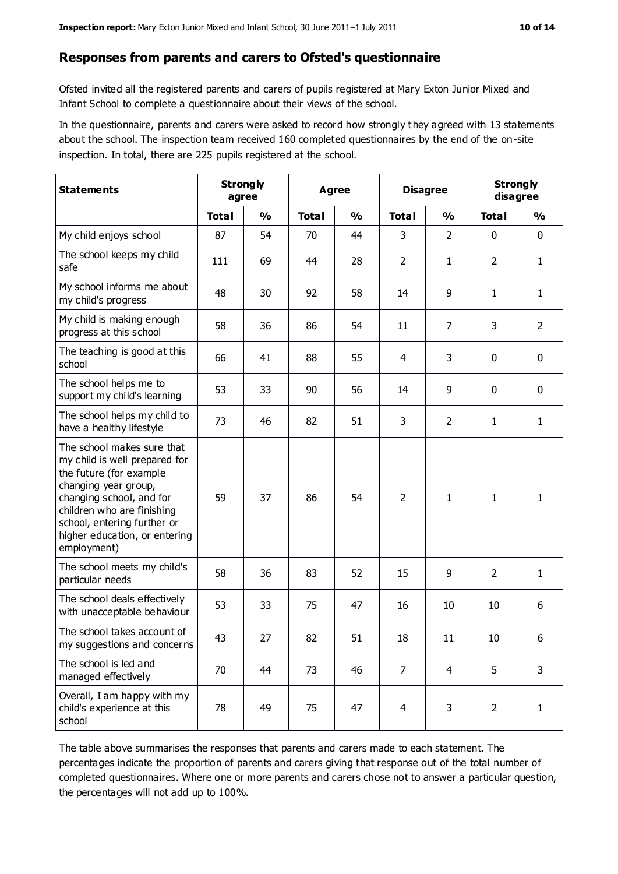#### **Responses from parents and carers to Ofsted's questionnaire**

Ofsted invited all the registered parents and carers of pupils registered at Mary Exton Junior Mixed and Infant School to complete a questionnaire about their views of the school.

In the questionnaire, parents and carers were asked to record how strongly they agreed with 13 statements about the school. The inspection team received 160 completed questionnaires by the end of the on-site inspection. In total, there are 225 pupils registered at the school.

| <b>Statements</b>                                                                                                                                                                                                                                       | <b>Strongly</b><br>agree |               |              | Agree         |                | <b>Disagree</b> |                | <b>Strongly</b><br>disagree |
|---------------------------------------------------------------------------------------------------------------------------------------------------------------------------------------------------------------------------------------------------------|--------------------------|---------------|--------------|---------------|----------------|-----------------|----------------|-----------------------------|
|                                                                                                                                                                                                                                                         | <b>Total</b>             | $\frac{0}{0}$ | <b>Total</b> | $\frac{0}{0}$ | <b>Total</b>   | $\frac{0}{0}$   | <b>Total</b>   | $\frac{0}{0}$               |
| My child enjoys school                                                                                                                                                                                                                                  | 87                       | 54            | 70           | 44            | 3              | $\overline{2}$  | $\mathbf 0$    | $\mathbf 0$                 |
| The school keeps my child<br>safe                                                                                                                                                                                                                       | 111                      | 69            | 44           | 28            | $\overline{2}$ | $\mathbf{1}$    | $\overline{2}$ | $\mathbf{1}$                |
| My school informs me about<br>my child's progress                                                                                                                                                                                                       | 48                       | 30            | 92           | 58            | 14             | 9               | $\mathbf{1}$   | $\mathbf{1}$                |
| My child is making enough<br>progress at this school                                                                                                                                                                                                    | 58                       | 36            | 86           | 54            | 11             | 7               | 3              | $\overline{2}$              |
| The teaching is good at this<br>school                                                                                                                                                                                                                  | 66                       | 41            | 88           | 55            | 4              | 3               | $\mathbf 0$    | $\mathbf 0$                 |
| The school helps me to<br>support my child's learning                                                                                                                                                                                                   | 53                       | 33            | 90           | 56            | 14             | 9               | $\mathbf 0$    | $\mathbf 0$                 |
| The school helps my child to<br>have a healthy lifestyle                                                                                                                                                                                                | 73                       | 46            | 82           | 51            | 3              | $\overline{2}$  | 1              | $\mathbf{1}$                |
| The school makes sure that<br>my child is well prepared for<br>the future (for example<br>changing year group,<br>changing school, and for<br>children who are finishing<br>school, entering further or<br>higher education, or entering<br>employment) | 59                       | 37            | 86           | 54            | $\overline{2}$ | 1               | $\mathbf{1}$   | 1                           |
| The school meets my child's<br>particular needs                                                                                                                                                                                                         | 58                       | 36            | 83           | 52            | 15             | 9               | $\overline{2}$ | $\mathbf{1}$                |
| The school deals effectively<br>with unacceptable behaviour                                                                                                                                                                                             | 53                       | 33            | 75           | 47            | 16             | 10              | 10             | 6                           |
| The school takes account of<br>my suggestions and concerns                                                                                                                                                                                              | 43                       | 27            | 82           | 51            | 18             | 11              | $10\,$         | 6                           |
| The school is led and<br>managed effectively                                                                                                                                                                                                            | 70                       | 44            | 73           | 46            | $\overline{7}$ | $\overline{4}$  | 5              | 3                           |
| Overall, I am happy with my<br>child's experience at this<br>school                                                                                                                                                                                     | 78                       | 49            | 75           | 47            | $\overline{4}$ | 3               | $\overline{2}$ | $\mathbf{1}$                |

The table above summarises the responses that parents and carers made to each statement. The percentages indicate the proportion of parents and carers giving that response out of the total number of completed questionnaires. Where one or more parents and carers chose not to answer a particular question, the percentages will not add up to 100%.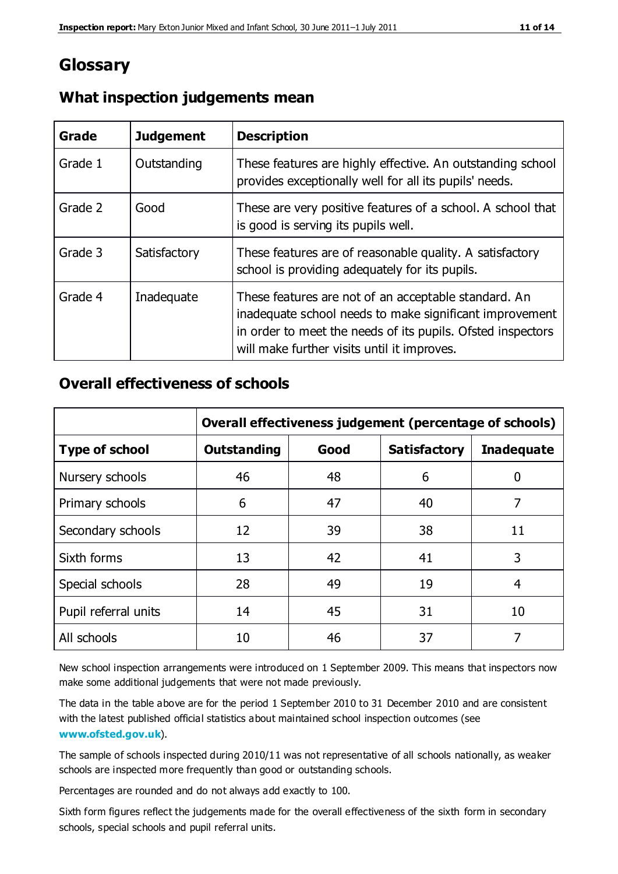# **Glossary**

| Grade   | <b>Judgement</b> | <b>Description</b>                                                                                                                                                                                                            |
|---------|------------------|-------------------------------------------------------------------------------------------------------------------------------------------------------------------------------------------------------------------------------|
| Grade 1 | Outstanding      | These features are highly effective. An outstanding school<br>provides exceptionally well for all its pupils' needs.                                                                                                          |
| Grade 2 | Good             | These are very positive features of a school. A school that<br>is good is serving its pupils well.                                                                                                                            |
| Grade 3 | Satisfactory     | These features are of reasonable quality. A satisfactory<br>school is providing adequately for its pupils.                                                                                                                    |
| Grade 4 | Inadequate       | These features are not of an acceptable standard. An<br>inadequate school needs to make significant improvement<br>in order to meet the needs of its pupils. Ofsted inspectors<br>will make further visits until it improves. |

# **What inspection judgements mean**

# **Overall effectiveness of schools**

|                       | Overall effectiveness judgement (percentage of schools) |      |                     |                   |
|-----------------------|---------------------------------------------------------|------|---------------------|-------------------|
| <b>Type of school</b> | <b>Outstanding</b>                                      | Good | <b>Satisfactory</b> | <b>Inadequate</b> |
| Nursery schools       | 46                                                      | 48   | 6                   |                   |
| Primary schools       | 6                                                       | 47   | 40                  | 7                 |
| Secondary schools     | 12                                                      | 39   | 38                  | 11                |
| Sixth forms           | 13                                                      | 42   | 41                  | 3                 |
| Special schools       | 28                                                      | 49   | 19                  | 4                 |
| Pupil referral units  | 14                                                      | 45   | 31                  | 10                |
| All schools           | 10                                                      | 46   | 37                  |                   |

New school inspection arrangements were introduced on 1 September 2009. This means that inspectors now make some additional judgements that were not made previously.

The data in the table above are for the period 1 September 2010 to 31 December 2010 and are consistent with the latest published official statistics about maintained school inspection outcomes (see **[www.ofsted.gov.uk](http://www.ofsted.gov.uk/)**).

The sample of schools inspected during 2010/11 was not representative of all schools nationally, as weaker schools are inspected more frequently than good or outstanding schools.

Percentages are rounded and do not always add exactly to 100.

Sixth form figures reflect the judgements made for the overall effectiveness of the sixth form in secondary schools, special schools and pupil referral units.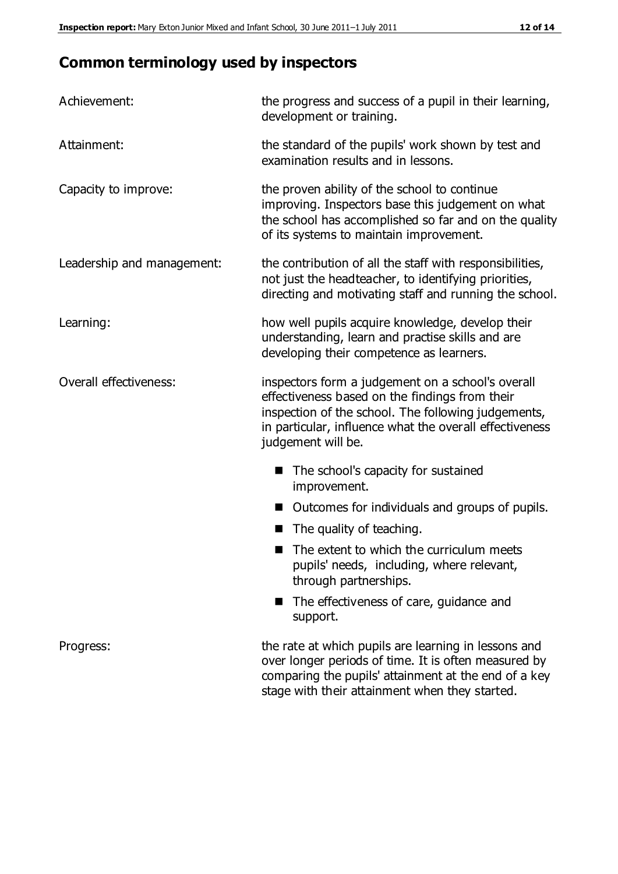# **Common terminology used by inspectors**

| Achievement:               | the progress and success of a pupil in their learning,<br>development or training.                                                                                                                                                          |  |  |
|----------------------------|---------------------------------------------------------------------------------------------------------------------------------------------------------------------------------------------------------------------------------------------|--|--|
| Attainment:                | the standard of the pupils' work shown by test and<br>examination results and in lessons.                                                                                                                                                   |  |  |
| Capacity to improve:       | the proven ability of the school to continue<br>improving. Inspectors base this judgement on what<br>the school has accomplished so far and on the quality<br>of its systems to maintain improvement.                                       |  |  |
| Leadership and management: | the contribution of all the staff with responsibilities,<br>not just the headteacher, to identifying priorities,<br>directing and motivating staff and running the school.                                                                  |  |  |
| Learning:                  | how well pupils acquire knowledge, develop their<br>understanding, learn and practise skills and are<br>developing their competence as learners.                                                                                            |  |  |
| Overall effectiveness:     | inspectors form a judgement on a school's overall<br>effectiveness based on the findings from their<br>inspection of the school. The following judgements,<br>in particular, influence what the overall effectiveness<br>judgement will be. |  |  |
|                            | The school's capacity for sustained<br>improvement.                                                                                                                                                                                         |  |  |
|                            | Outcomes for individuals and groups of pupils.                                                                                                                                                                                              |  |  |
|                            | The quality of teaching.                                                                                                                                                                                                                    |  |  |
|                            | The extent to which the curriculum meets<br>pupils' needs, including, where relevant,<br>through partnerships.                                                                                                                              |  |  |
|                            | The effectiveness of care, guidance and<br>support.                                                                                                                                                                                         |  |  |
| Progress:                  | the rate at which pupils are learning in lessons and<br>over longer periods of time. It is often measured by<br>comparing the pupils' attainment at the end of a key                                                                        |  |  |

stage with their attainment when they started.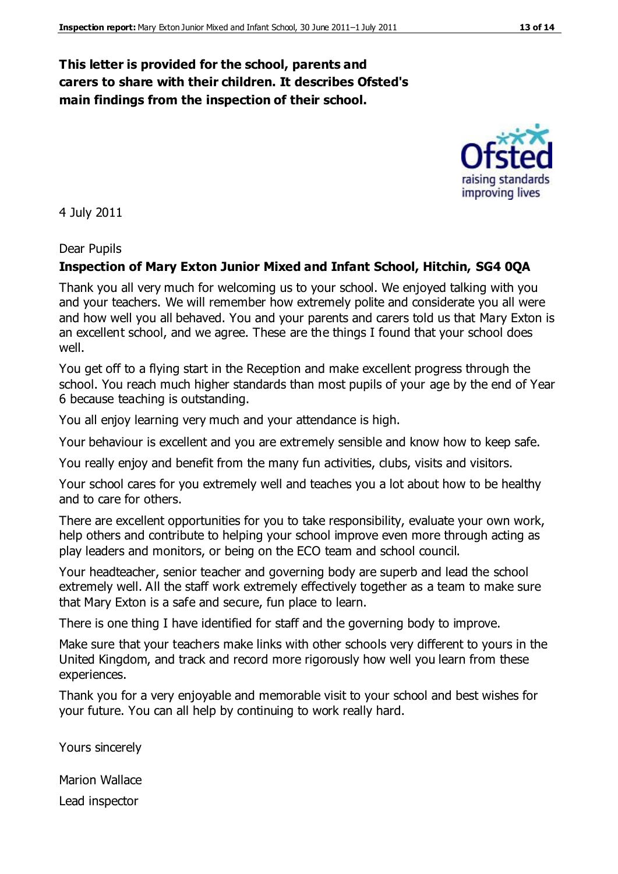## **This letter is provided for the school, parents and carers to share with their children. It describes Ofsted's main findings from the inspection of their school.**

4 July 2011

#### Dear Pupils

#### **Inspection of Mary Exton Junior Mixed and Infant School, Hitchin, SG4 0QA**

Thank you all very much for welcoming us to your school. We enjoyed talking with you and your teachers. We will remember how extremely polite and considerate you all were and how well you all behaved. You and your parents and carers told us that Mary Exton is an excellent school, and we agree. These are the things I found that your school does well.

You get off to a flying start in the Reception and make excellent progress through the school. You reach much higher standards than most pupils of your age by the end of Year 6 because teaching is outstanding.

You all enjoy learning very much and your attendance is high.

Your behaviour is excellent and you are extremely sensible and know how to keep safe.

You really enjoy and benefit from the many fun activities, clubs, visits and visitors.

Your school cares for you extremely well and teaches you a lot about how to be healthy and to care for others.

There are excellent opportunities for you to take responsibility, evaluate your own work, help others and contribute to helping your school improve even more through acting as play leaders and monitors, or being on the ECO team and school council.

Your headteacher, senior teacher and governing body are superb and lead the school extremely well. All the staff work extremely effectively together as a team to make sure that Mary Exton is a safe and secure, fun place to learn.

There is one thing I have identified for staff and the governing body to improve.

Make sure that your teachers make links with other schools very different to yours in the United Kingdom, and track and record more rigorously how well you learn from these experiences.

Thank you for a very enjoyable and memorable visit to your school and best wishes for your future. You can all help by continuing to work really hard.

Yours sincerely

Marion Wallace

Lead inspector